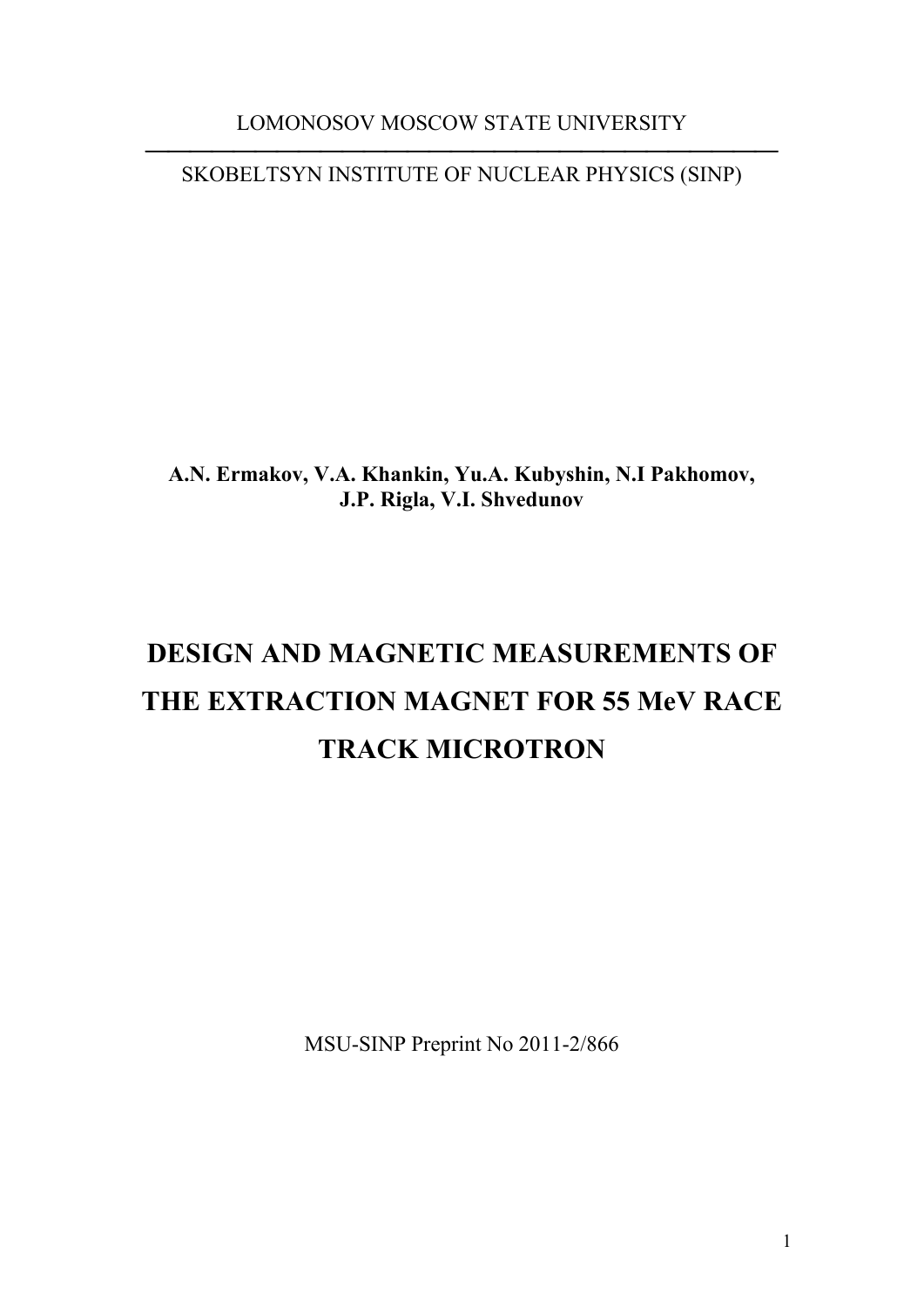LOMONOSOV MOSCOW STATE UNIVERSITY

⎯⎯⎯⎯⎯⎯⎯⎯⎯⎯⎯⎯⎯⎯⎯⎯⎯⎯⎯⎯⎯⎯⎯⎯⎯⎯⎯⎯⎯ SKOBELTSYN INSTITUTE OF NUCLEAR PHYSICS (SINP)

**A.N. Ermakov, V.A. Khankin, Yu.A. Kubyshin, N.I Pakhomov, J.P. Rigla, V.I. Shvedunov** 

# **DESIGN AND MAGNETIC MEASUREMENTS OF THE EXTRACTION MAGNET FOR 55 MeV RACE TRACK MICROTRON**

MSU-SINP Preprint No 2011-2/866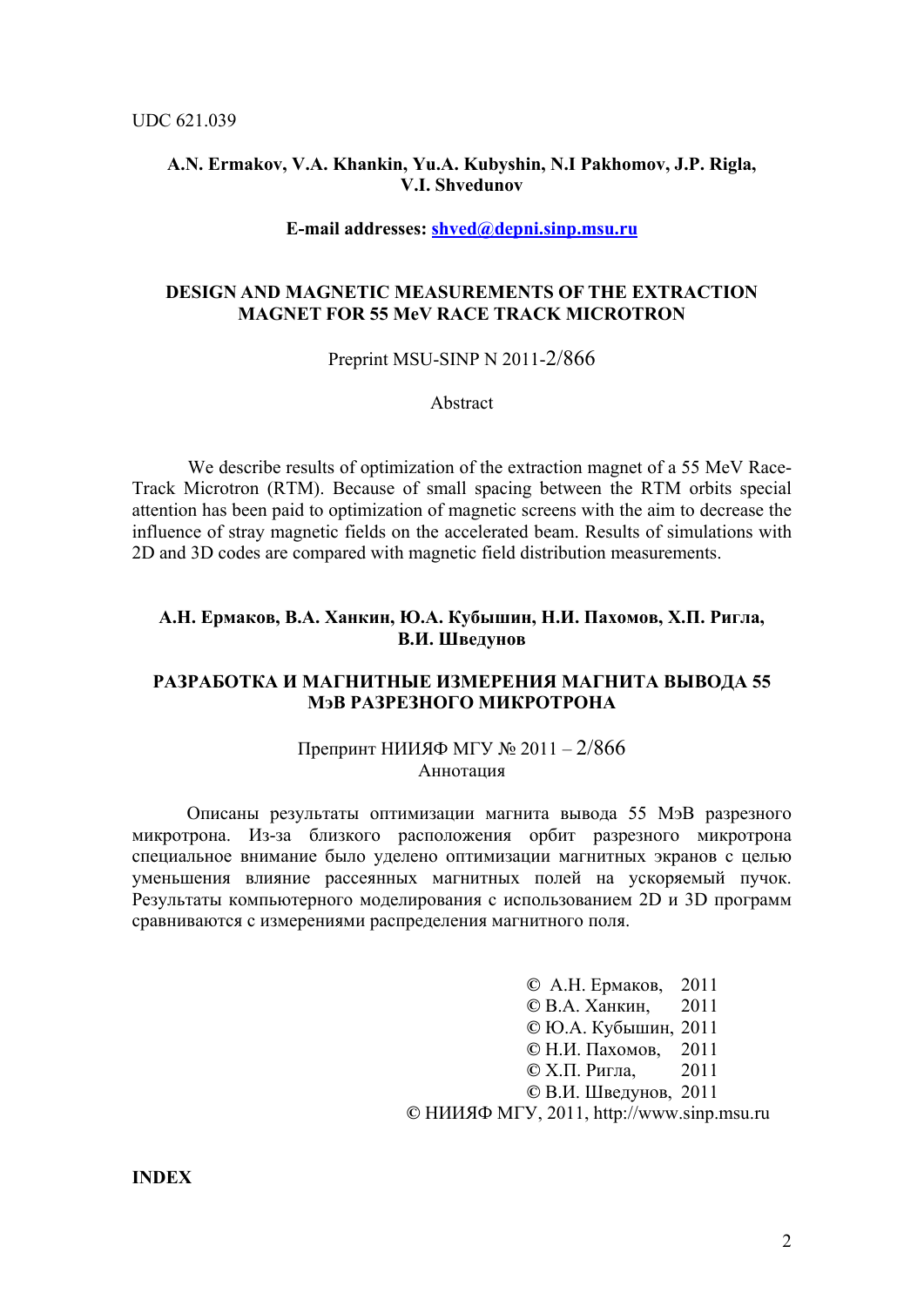## **A.N. Ermakov, V.A. Khankin, Yu.A. Kubyshin, N.I Pakhomov, J.P. Rigla, V.I. Shvedunov**

#### **E-mail addresses: [shved@depni.sinp.msu.ru](mailto:shved@depni.sinp.msu.ru)**

## **DESIGN AND MAGNETIC MEASUREMENTS OF THE EXTRACTION MAGNET FOR 55 MeV RACE TRACK MICROTRON**

Preprint MSU-SINP N 2011-2/866

Abstract

We describe results of optimization of the extraction magnet of a 55 MeV Race-Track Microtron (RTM). Because of small spacing between the RTM orbits special attention has been paid to optimization of magnetic screens with the aim to decrease the influence of stray magnetic fields on the accelerated beam. Results of simulations with 2D and 3D codes are compared with magnetic field distribution measurements.

## А.Н. Ермаков, В.А. Ханкин, Ю.А. Кубышин, Н.И. Пахомов, Х.П. Ригла, **В.И. Шведунов**

## **РАЗРАБОТКА И МАГНИТНЫЕ ИЗМЕРЕНИЯ МАГНИТА ВЫВОДА 55 МэВ РАЗРЕЗНОГО МИКРОТРОНА**

## Препринт НИИЯФ МГУ № 2011 – 2/866 Аннотация

Описаны результаты оптимизации магнита вывода 55 МэВ разрезного микротрона. Из-за близкого расположения орбит разрезного микротрона специальное внимание было уделено оптимизации магнитных экранов с целью уменьшения влияние рассеянных магнитных полей на ускоряемый пучок. Результаты компьютерного моделирования с использованием 2D и 3D программ сравниваются с измерениями распределения магнитного поля.

> **©** А.Н. Ермаков, 2011  **©** В.А. Ханкин, 2011  **©** Ю.А. Кубышин, 2011  **©** Н.И. Пахомов, 2011  **©** Х.П. Ригла, 2011  **©** В.И. Шведунов, 2011 **©** НИИЯФ МГУ, 2011, http://www.sinp.msu.ru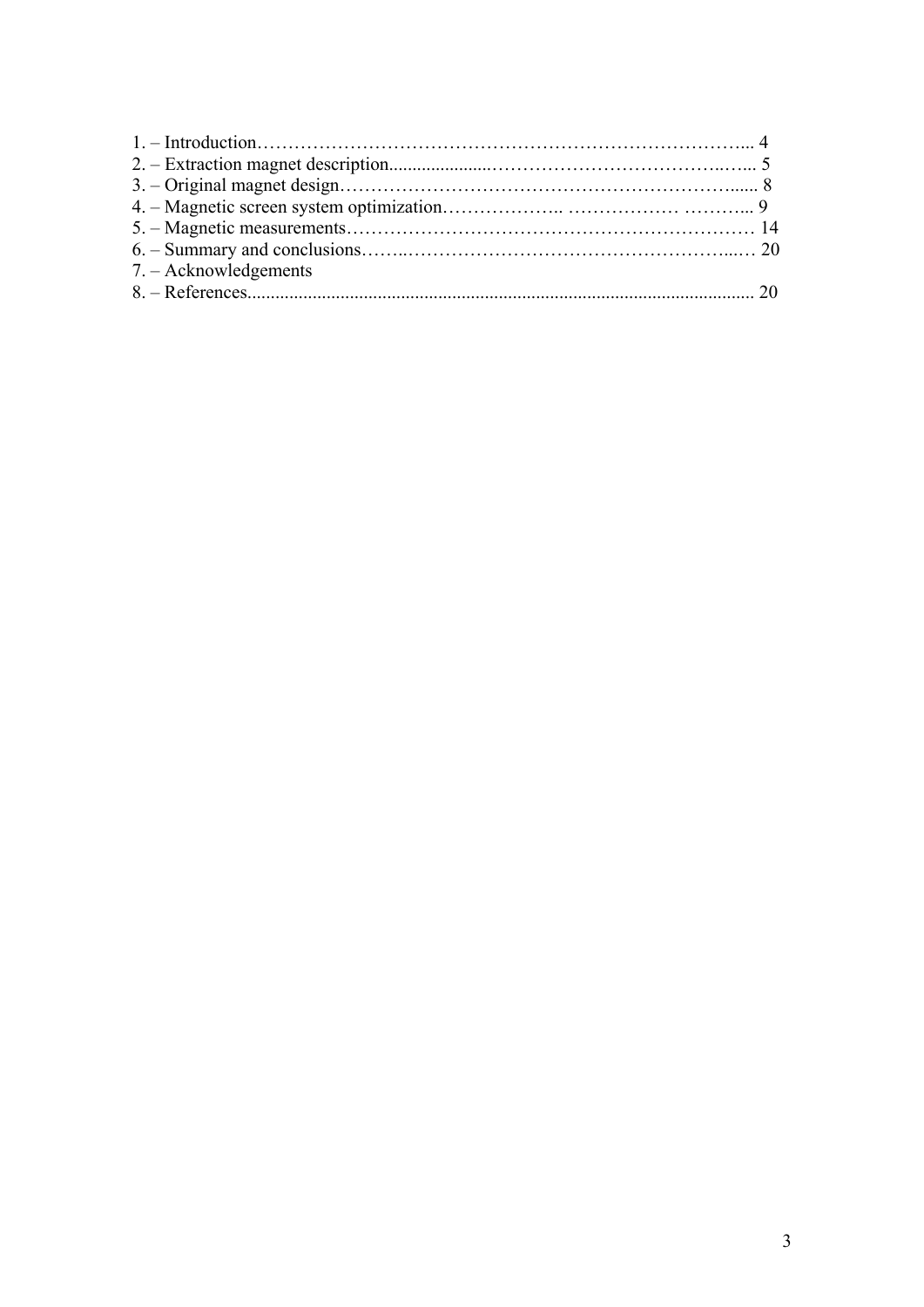| $7 - Acknowledgements$ |  |
|------------------------|--|
|                        |  |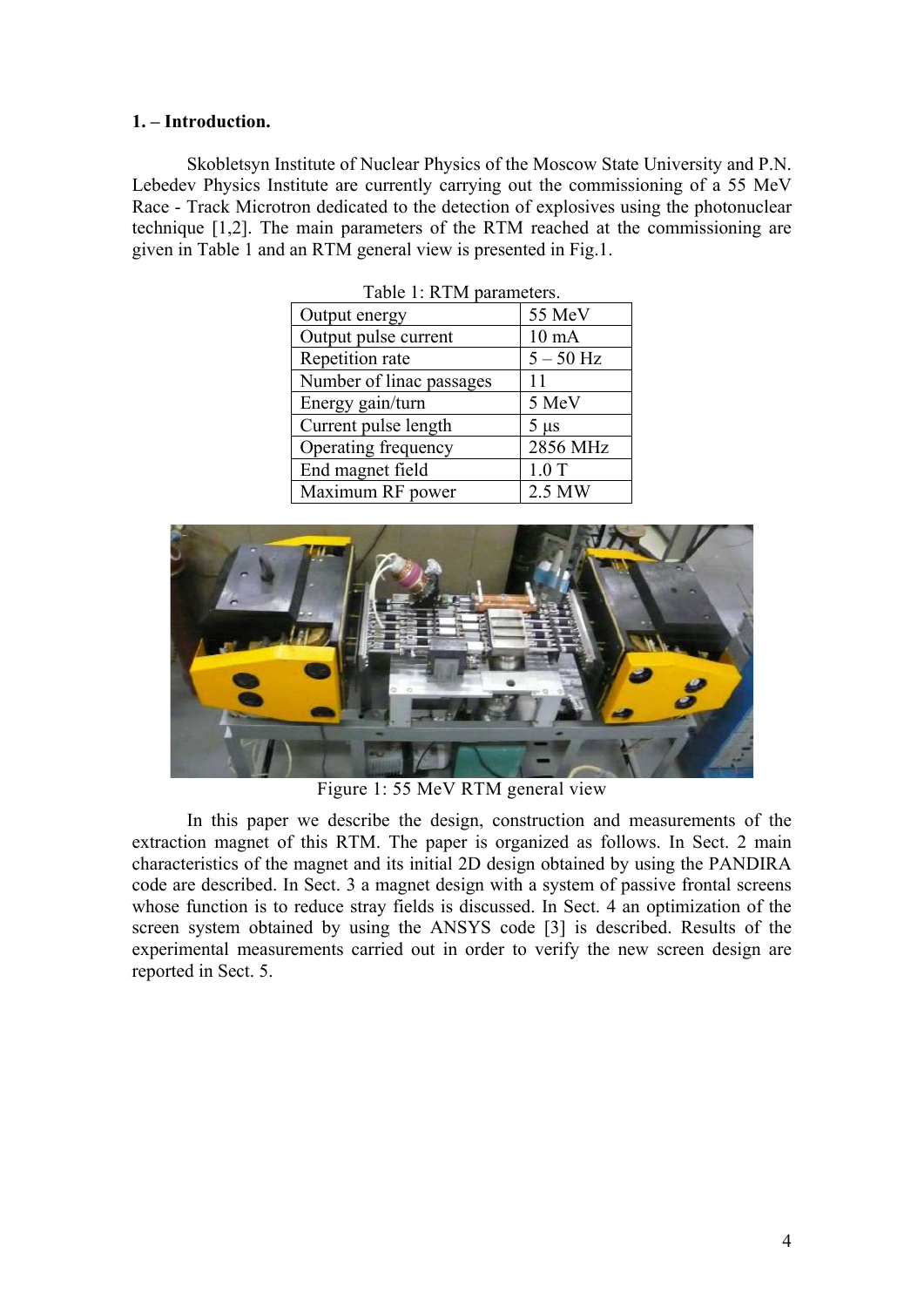## **1. – Introduction.**

Skobletsyn Institute of Nuclear Physics of the Moscow State University and P.N. Lebedev Physics Institute are currently carrying out the commissioning of a 55 MeV Race - Track Microtron dedicated to the detection of explosives using the photonuclear technique [1,2]. The main parameters of the RTM reached at the commissioning are given in Table 1 and an RTM general view is presented in Fig.1.

| TAUIT 1. INTIVI PARAMENTIS. |                 |
|-----------------------------|-----------------|
| Output energy               | 55 MeV          |
| Output pulse current        | $10 \text{ mA}$ |
| Repetition rate             | $5 - 50$ Hz     |
| Number of linac passages    | 11              |
| Energy gain/turn            | 5 MeV           |
| Current pulse length        | $5 \mu s$       |
| Operating frequency         | 2856 MHz        |
| End magnet field            | 1.0T            |
| Maximum RF power            | 2.5 MW          |

 $Table 1: DTM$  parameters.



Figure 1: 55 MeV RTM general view

In this paper we describe the design, construction and measurements of the extraction magnet of this RTM. The paper is organized as follows. In Sect. 2 main characteristics of the magnet and its initial 2D design obtained by using the PANDIRA code are described. In Sect. 3 a magnet design with a system of passive frontal screens whose function is to reduce stray fields is discussed. In Sect. 4 an optimization of the screen system obtained by using the ANSYS code [3] is described. Results of the experimental measurements carried out in order to verify the new screen design are reported in Sect. 5.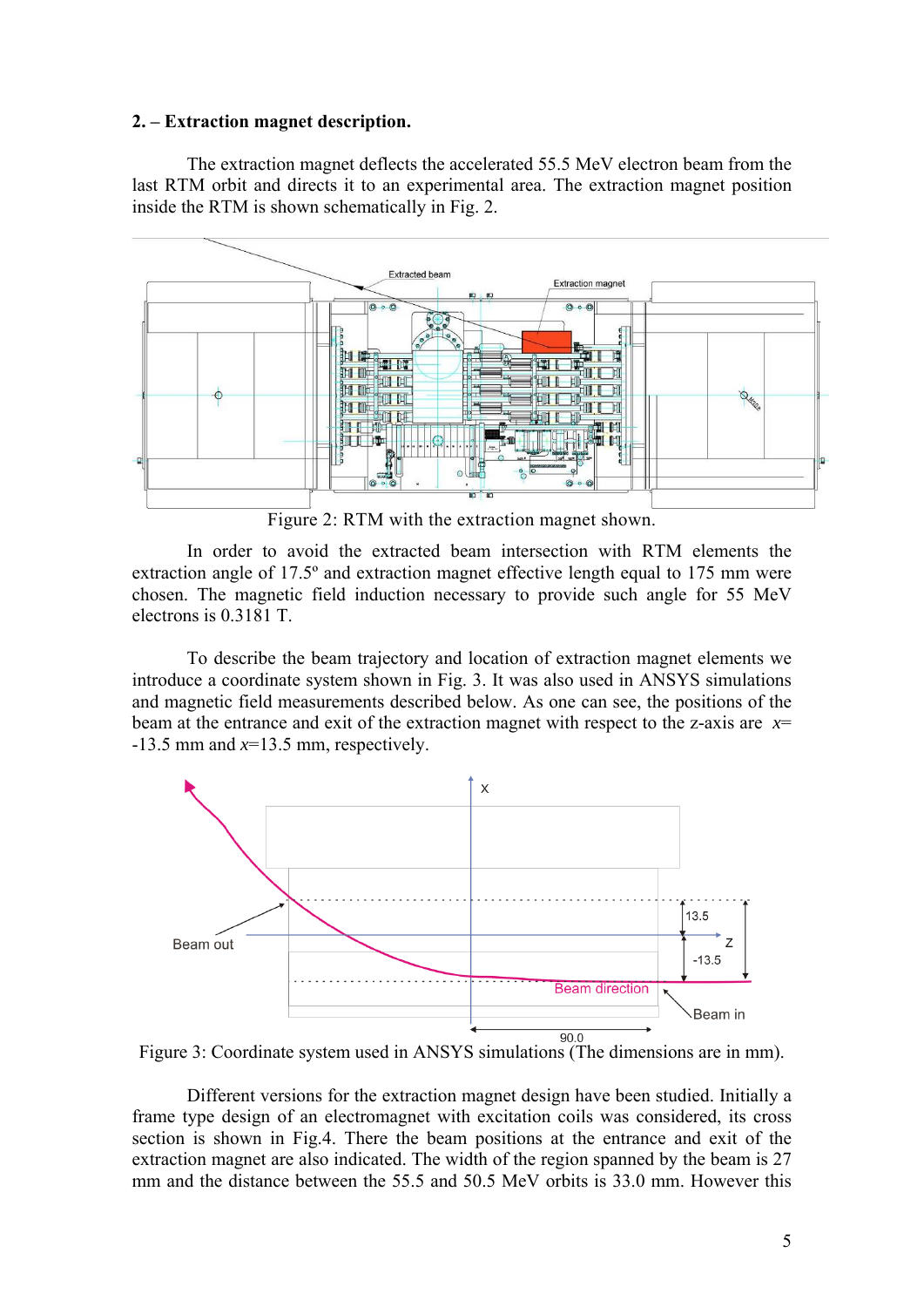#### **2. – Extraction magnet description.**

The extraction magnet deflects the accelerated 55.5 MeV electron beam from the last RTM orbit and directs it to an experimental area. The extraction magnet position inside the RTM is shown schematically in Fig. 2.



Figure 2: RTM with the extraction magnet shown.

In order to avoid the extracted beam intersection with RTM elements the extraction angle of 17.5º and extraction magnet effective length equal to 175 mm were chosen. The magnetic field induction necessary to provide such angle for 55 MeV electrons is 0.3181 T.

To describe the beam trajectory and location of extraction magnet elements we introduce a coordinate system shown in Fig. 3. It was also used in ANSYS simulations and magnetic field measurements described below. As one can see, the positions of the beam at the entrance and exit of the extraction magnet with respect to the z-axis are  $x=$ -13.5 mm and *x*=13.5 mm, respectively.



Figure 3: Coordinate system used in ANSYS simulations (The dimensions are in mm).

Different versions for the extraction magnet design have been studied. Initially a frame type design of an electromagnet with excitation coils was considered, its cross section is shown in Fig.4. There the beam positions at the entrance and exit of the extraction magnet are also indicated. The width of the region spanned by the beam is 27 mm and the distance between the 55.5 and 50.5 MeV orbits is 33.0 mm. However this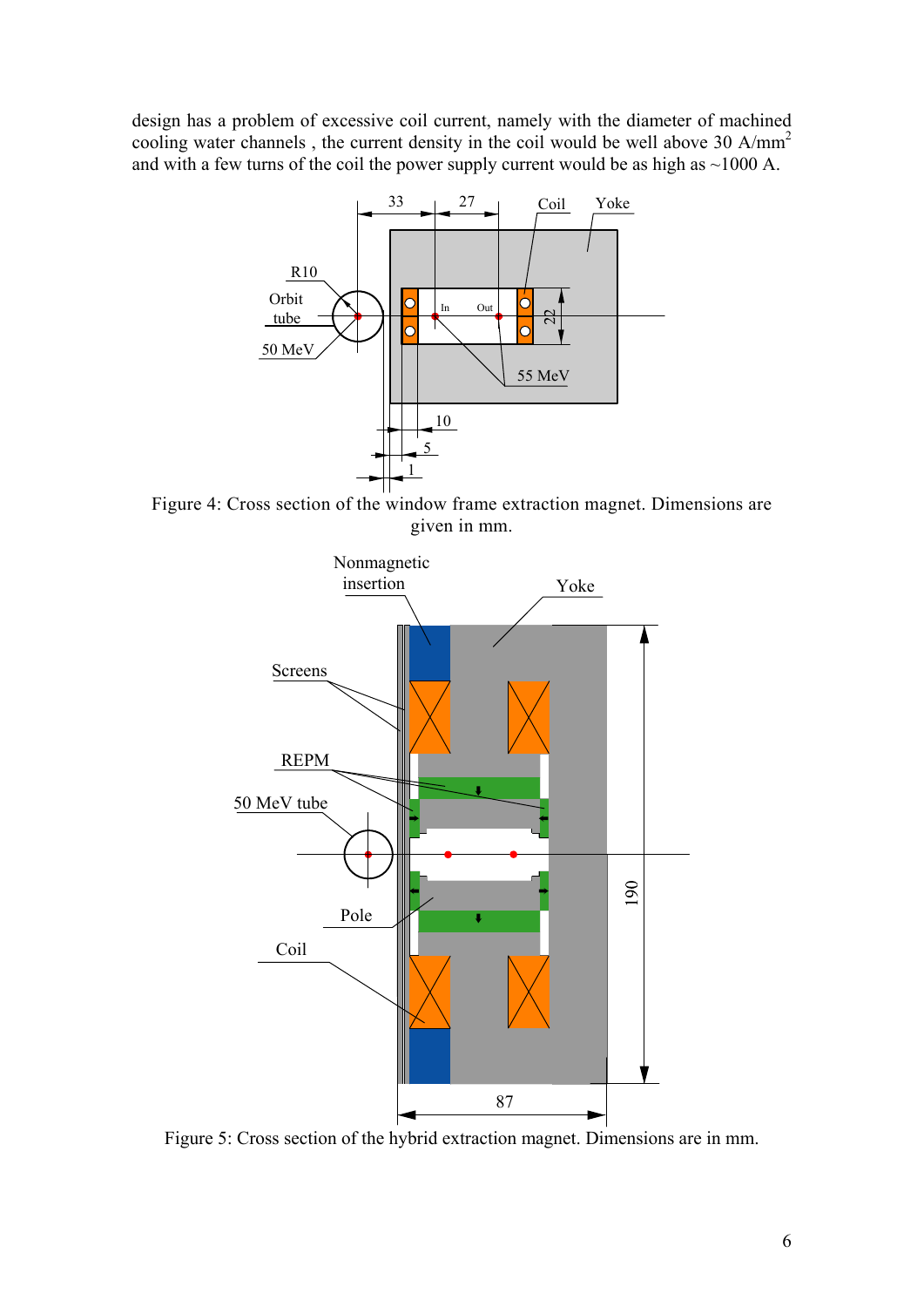design has a problem of excessive coil current, namely with the diameter of machined cooling water channels, the current density in the coil would be well above 30 A/mm<sup>2</sup> and with a few turns of the coil the power supply current would be as high as  $\sim$ 1000 A.



Figure 4: Cross section of the window frame extraction magnet. Dimensions are given in mm.



Figure 5: Cross section of the hybrid extraction magnet. Dimensions are in mm.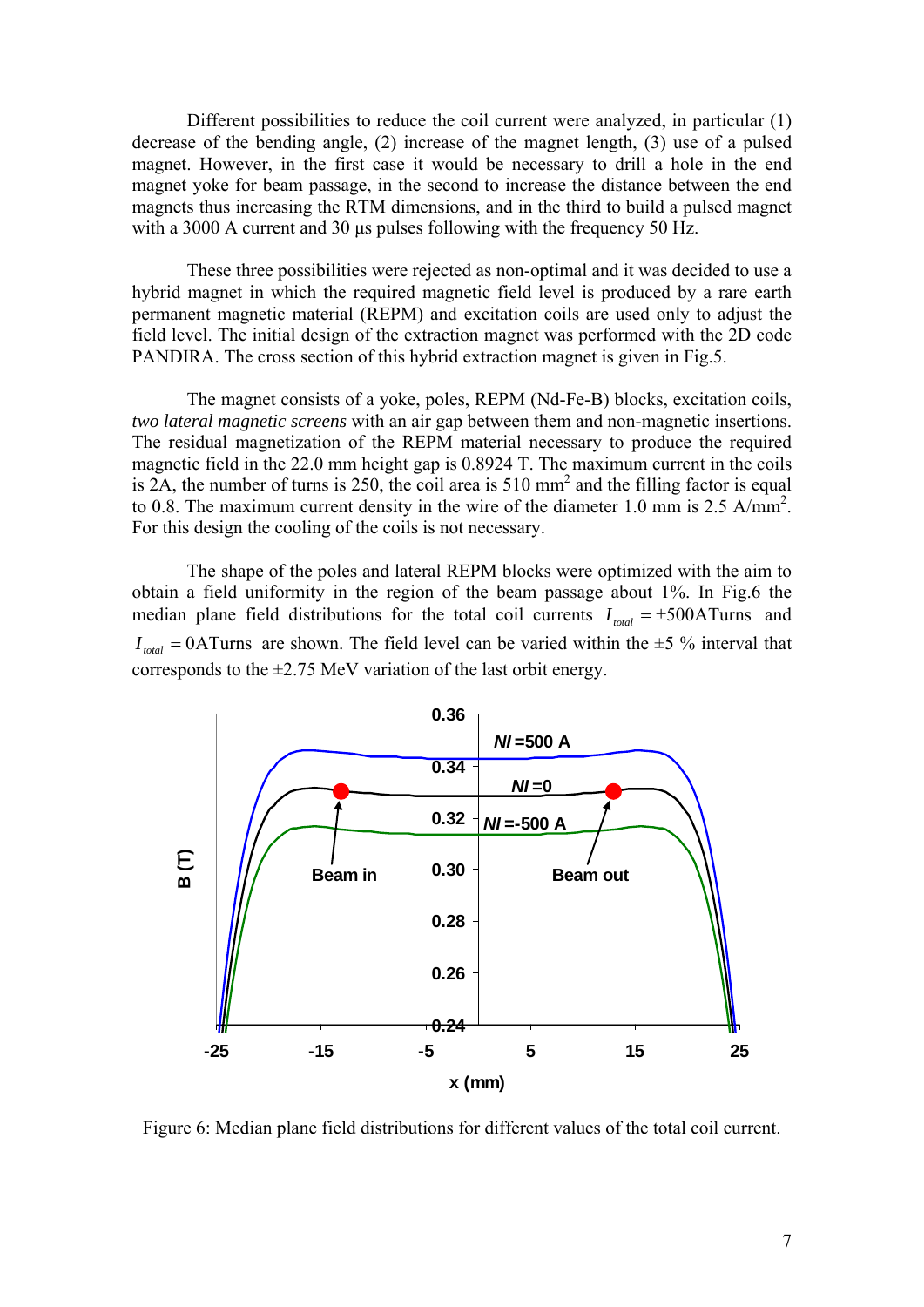Different possibilities to reduce the coil current were analyzed, in particular (1) decrease of the bending angle, (2) increase of the magnet length, (3) use of a pulsed magnet. However, in the first case it would be necessary to drill a hole in the end magnet yoke for beam passage, in the second to increase the distance between the end magnets thus increasing the RTM dimensions, and in the third to build a pulsed magnet with a 3000 A current and 30 μs pulses following with the frequency 50 Hz.

These three possibilities were rejected as non-optimal and it was decided to use a hybrid magnet in which the required magnetic field level is produced by a rare earth permanent magnetic material (REPM) and excitation coils are used only to adjust the field level. The initial design of the extraction magnet was performed with the 2D code PANDIRA. The cross section of this hybrid extraction magnet is given in Fig.5.

The magnet consists of a yoke, poles, REPM (Nd-Fe-B) blocks, excitation coils, *two lateral magnetic screens* with an air gap between them and non-magnetic insertions. The residual magnetization of the REPM material necessary to produce the required magnetic field in the 22.0 mm height gap is 0.8924 T. The maximum current in the coils is 2A, the number of turns is 250, the coil area is  $510 \text{ mm}^2$  and the filling factor is equal to 0.8. The maximum current density in the wire of the diameter 1.0 mm is 2.5 A/mm<sup>2</sup>. For this design the cooling of the coils is not necessary.

The shape of the poles and lateral REPM blocks were optimized with the aim to obtain a field uniformity in the region of the beam passage about 1%. In Fig.6 the median plane field distributions for the total coil currents  $I_{total} = \pm 500$ ATurns and  $I_{total} = 0$ ATurns are shown. The field level can be varied within the  $\pm 5$  % interval that corresponds to the  $\pm$ 2.75 MeV variation of the last orbit energy.



Figure 6: Median plane field distributions for different values of the total coil current.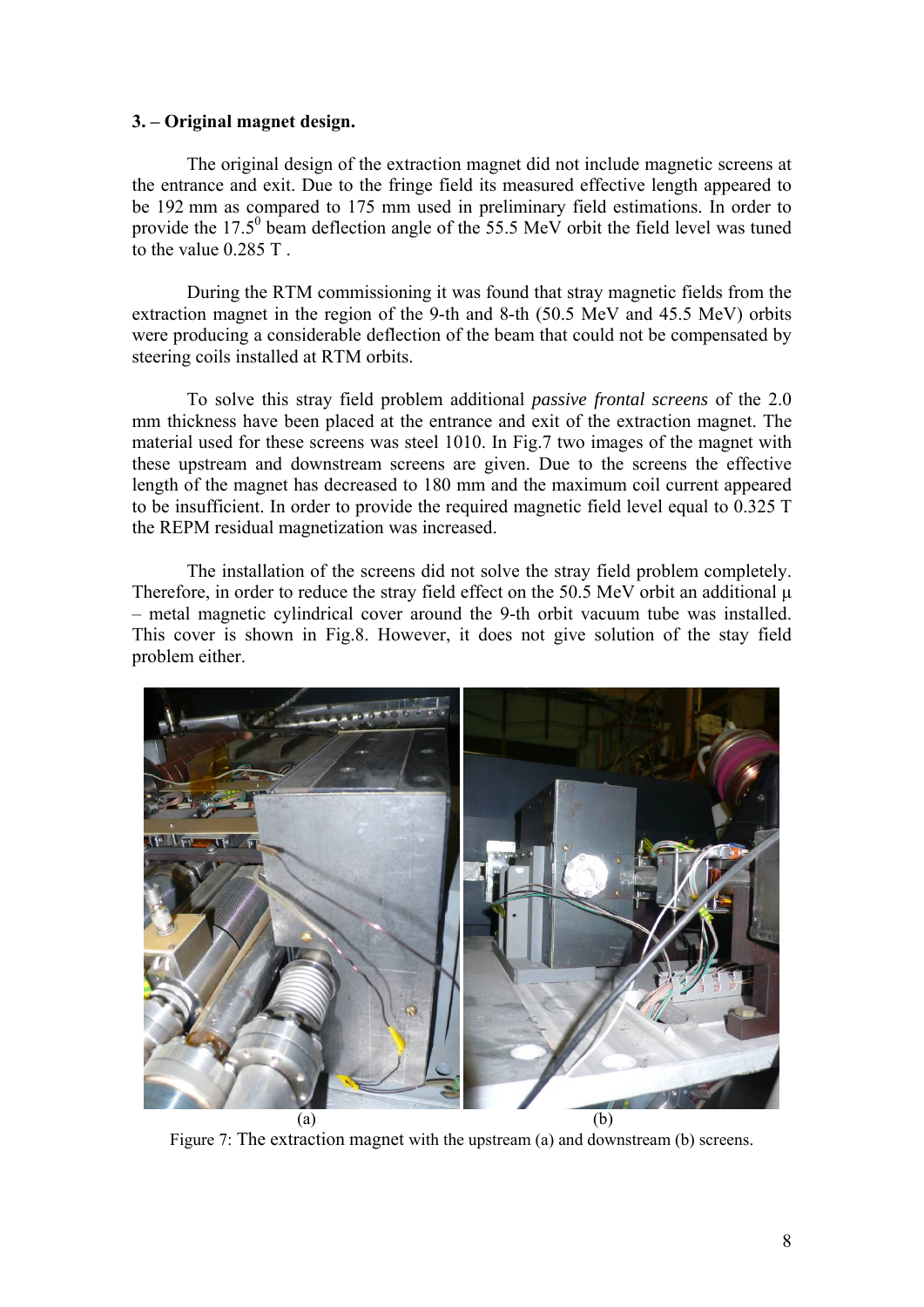## **3. – Original magnet design.**

The original design of the extraction magnet did not include magnetic screens at the entrance and exit. Due to the fringe field its measured effective length appeared to be 192 mm as compared to 175 mm used in preliminary field estimations. In order to provide the  $17.5^{\circ}$  beam deflection angle of the 55.5 MeV orbit the field level was tuned to the value 0.285 T .

During the RTM commissioning it was found that stray magnetic fields from the extraction magnet in the region of the 9-th and 8-th (50.5 MeV and 45.5 MeV) orbits were producing a considerable deflection of the beam that could not be compensated by steering coils installed at RTM orbits.

To solve this stray field problem additional *passive frontal screens* of the 2.0 mm thickness have been placed at the entrance and exit of the extraction magnet. The material used for these screens was steel 1010. In Fig.7 two images of the magnet with these upstream and downstream screens are given. Due to the screens the effective length of the magnet has decreased to 180 mm and the maximum coil current appeared to be insufficient. In order to provide the required magnetic field level equal to 0.325 T the REPM residual magnetization was increased.

The installation of the screens did not solve the stray field problem completely. Therefore, in order to reduce the stray field effect on the 50.5 MeV orbit an additional μ – metal magnetic cylindrical cover around the 9-th orbit vacuum tube was installed. This cover is shown in Fig.8. However, it does not give solution of the stay field problem either.



Figure 7: The extraction magnet with the upstream (a) and downstream (b) screens.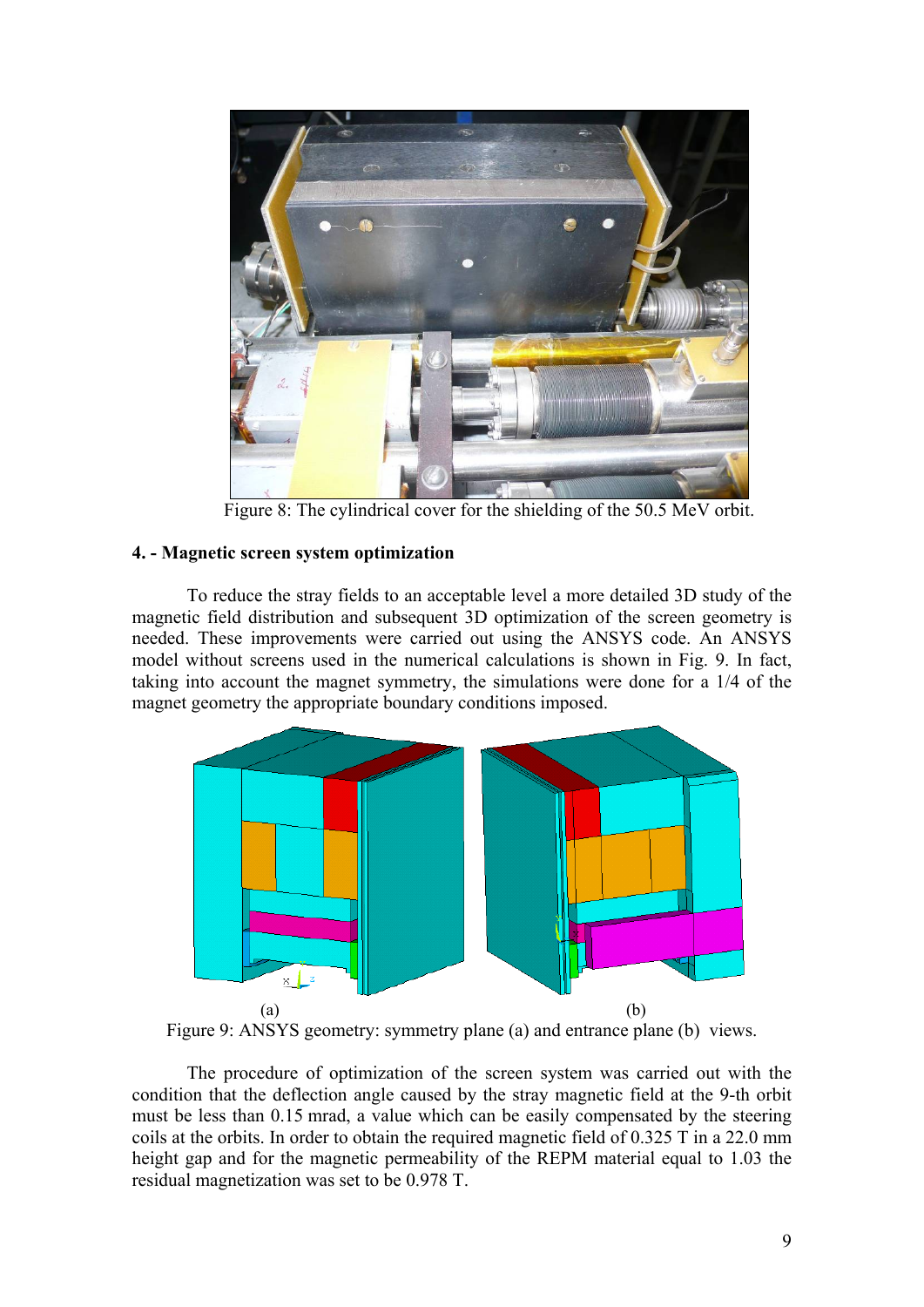

Figure 8: The cylindrical cover for the shielding of the 50.5 MeV orbit.

# **4. - Magnetic screen system optimization**

To reduce the stray fields to an acceptable level a more detailed 3D study of the magnetic field distribution and subsequent 3D optimization of the screen geometry is needed. These improvements were carried out using the ANSYS code. An ANSYS model without screens used in the numerical calculations is shown in Fig. 9. In fact, taking into account the magnet symmetry, the simulations were done for a 1/4 of the magnet geometry the appropriate boundary conditions imposed.



Figure 9: ANSYS geometry: symmetry plane (a) and entrance plane (b) views.

The procedure of optimization of the screen system was carried out with the condition that the deflection angle caused by the stray magnetic field at the 9-th orbit must be less than 0.15 mrad, a value which can be easily compensated by the steering coils at the orbits. In order to obtain the required magnetic field of 0.325 T in a 22.0 mm height gap and for the magnetic permeability of the REPM material equal to 1.03 the residual magnetization was set to be 0.978 T.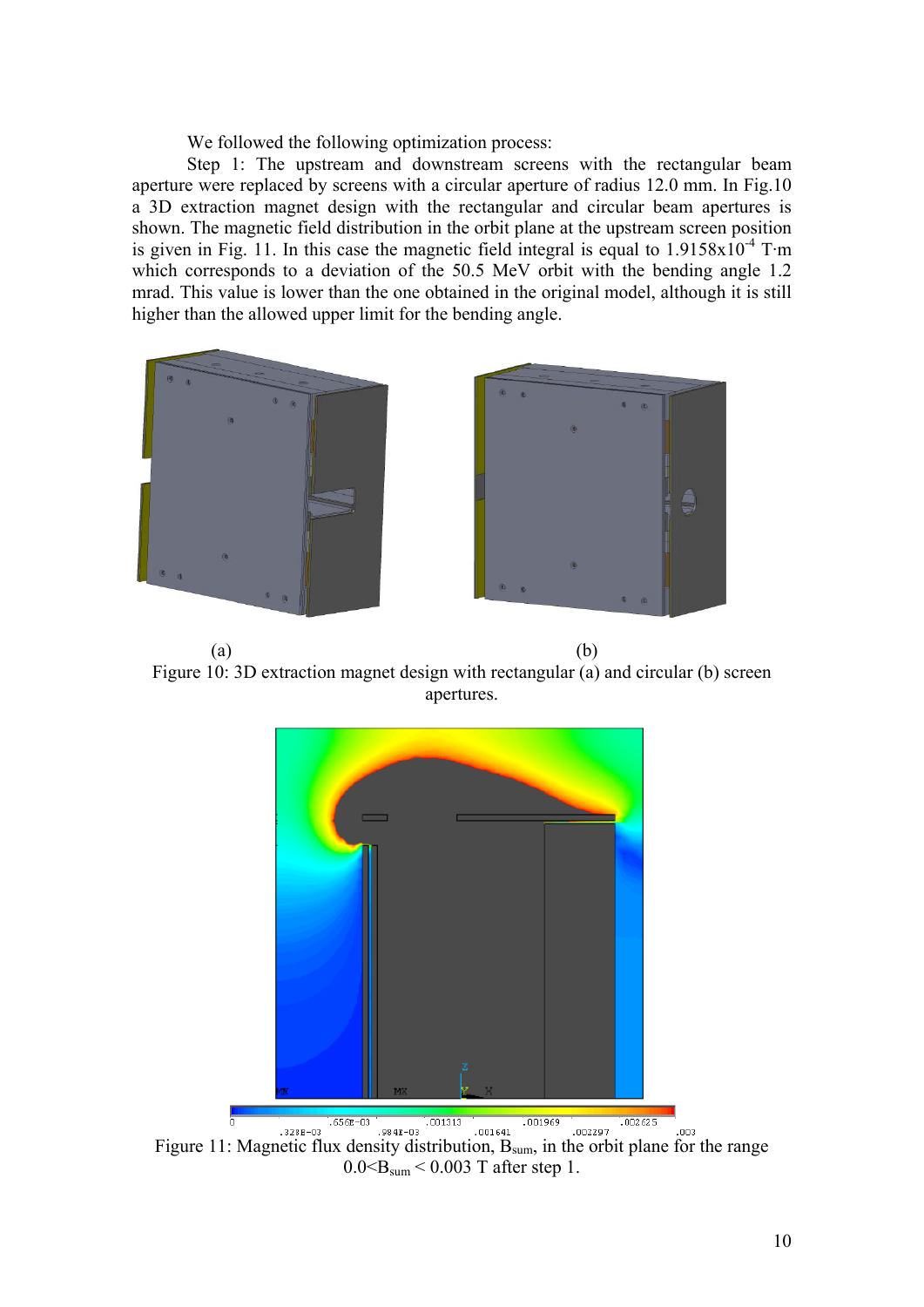We followed the following optimization process:

Step 1: The upstream and downstream screens with the rectangular beam aperture were replaced by screens with a circular aperture of radius 12.0 mm. In Fig.10 a 3D extraction magnet design with the rectangular and circular beam apertures is shown. The magnetic field distribution in the orbit plane at the upstream screen position is given in Fig. 11. In this case the magnetic field integral is equal to  $1.9158\times10^{-4}$  T·m which corresponds to a deviation of the 50.5 MeV orbit with the bending angle 1.2 mrad. This value is lower than the one obtained in the original model, although it is still higher than the allowed upper limit for the bending angle.



 $(a)$  (b) Figure 10: 3D extraction magnet design with rectangular (a) and circular (b) screen apertures.



 $0.0 \leq B_{\text{sum}} \leq 0.003$  T after step 1.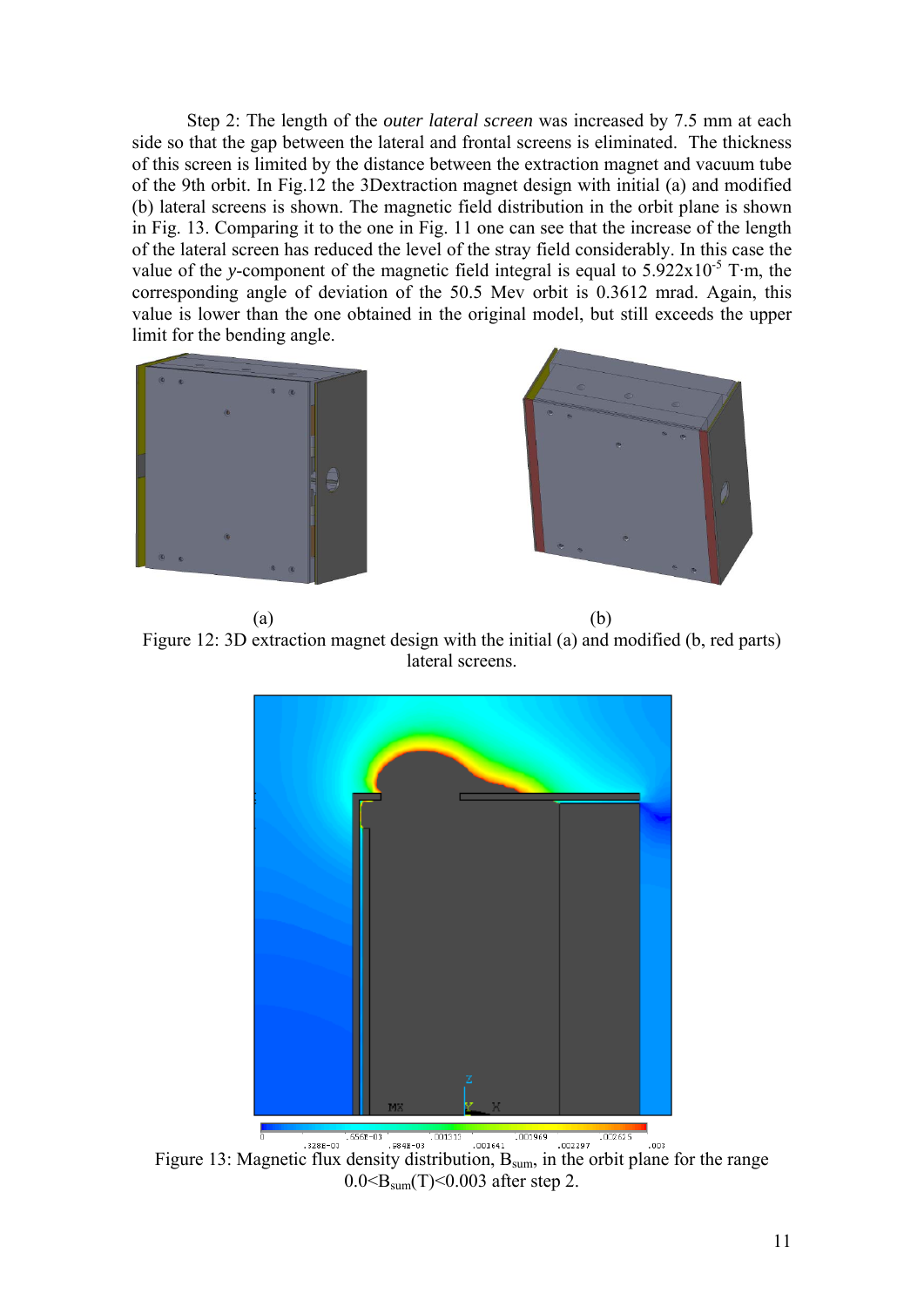Step 2: The length of the *outer lateral screen* was increased by 7.5 mm at each side so that the gap between the lateral and frontal screens is eliminated. The thickness of this screen is limited by the distance between the extraction magnet and vacuum tube of the 9th orbit. In Fig.12 the 3Dextraction magnet design with initial (a) and modified (b) lateral screens is shown. The magnetic field distribution in the orbit plane is shown in Fig. 13. Comparing it to the one in Fig. 11 one can see that the increase of the length of the lateral screen has reduced the level of the stray field considerably. In this case the value of the *y*-component of the magnetic field integral is equal to  $5.922 \times 10^{-5}$  T·m, the corresponding angle of deviation of the 50.5 Mev orbit is 0.3612 mrad. Again, this value is lower than the one obtained in the original model, but still exceeds the upper limit for the bending angle.





 $(a)$  (b) Figure 12: 3D extraction magnet design with the initial (a) and modified (b, red parts) lateral screens.



Figure 13: Magnetic flux density distribution, B<sub>sum</sub>, in the orbit plane for the range  $0.0 \leq B_{\text{sum}}(T) \leq 0.003$  after step 2.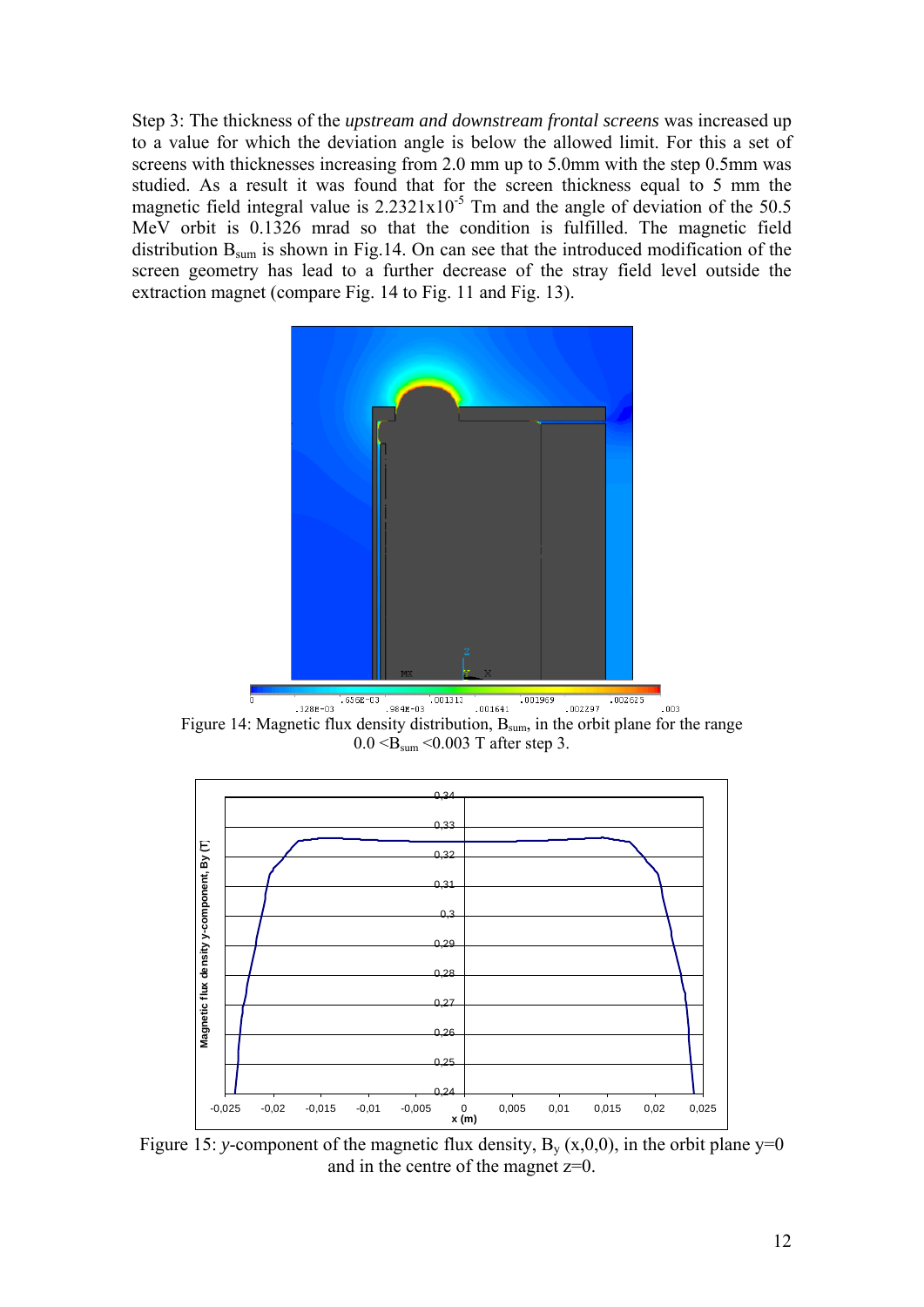Step 3: The thickness of the *upstream and downstream frontal screens* was increased up to a value for which the deviation angle is below the allowed limit. For this a set of screens with thicknesses increasing from 2.0 mm up to 5.0mm with the step 0.5mm was studied. As a result it was found that for the screen thickness equal to 5 mm the magnetic field integral value is  $2.2321 \times 10^{-5}$  Tm and the angle of deviation of the 50.5 MeV orbit is 0.1326 mrad so that the condition is fulfilled. The magnetic field distribution B<sub>sum</sub> is shown in Fig.14. On can see that the introduced modification of the screen geometry has lead to a further decrease of the stray field level outside the extraction magnet (compare Fig. 14 to Fig. 11 and Fig. 13).



 $.003$ Figure 14: Magnetic flux density distribution, B<sub>sum</sub>, in the orbit plane for the range  $0.0 \leq B_{sum} \leq 0.003$  T after step 3.



Figure 15: *y*-component of the magnetic flux density,  $B_v(x,0,0)$ , in the orbit plane  $y=0$ and in the centre of the magnet z=0.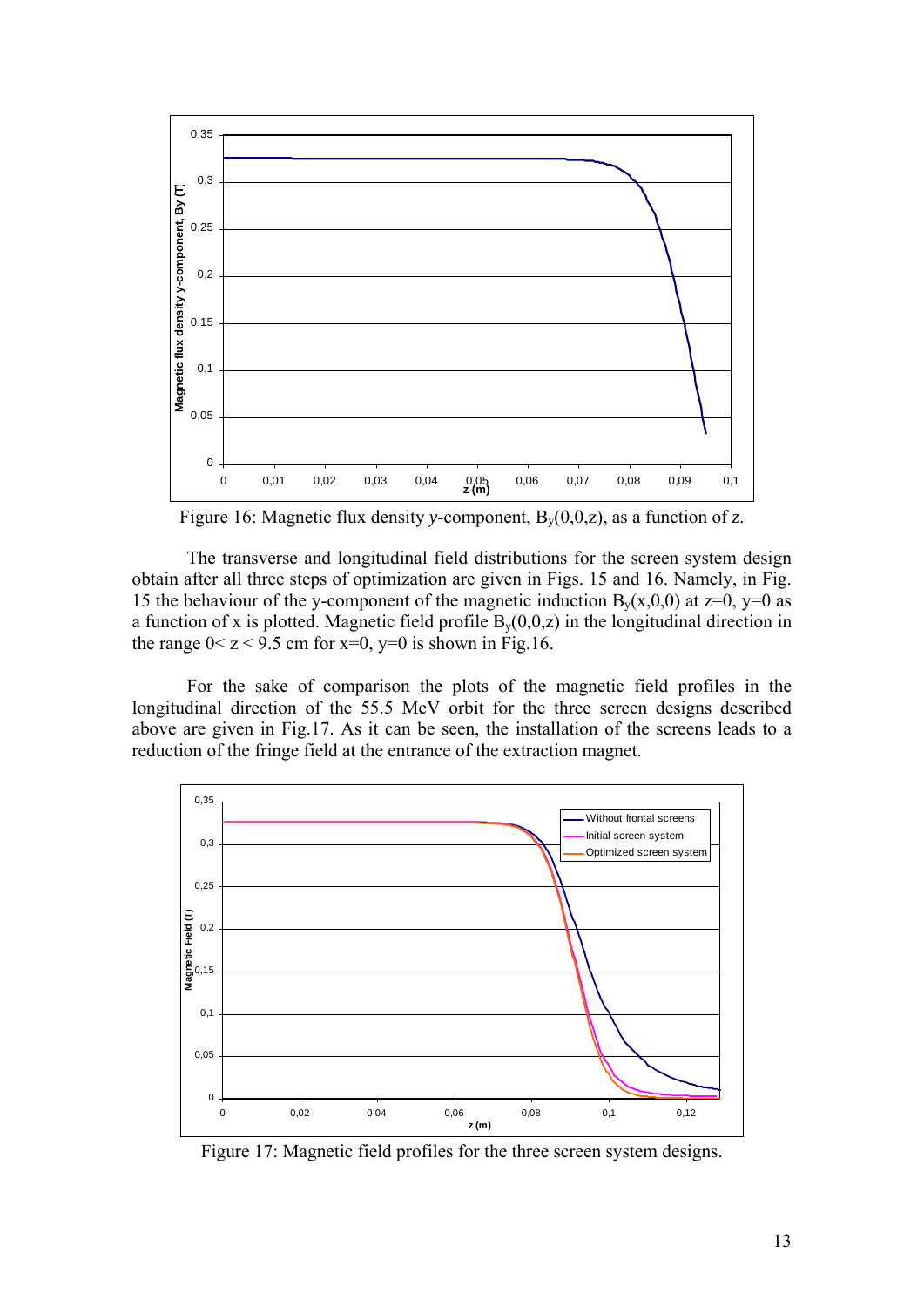

Figure 16: Magnetic flux density *y*-component, By(0,0,z), as a function of *z*.

The transverse and longitudinal field distributions for the screen system design obtain after all three steps of optimization are given in Figs. 15 and 16. Namely, in Fig. 15 the behaviour of the y-component of the magnetic induction  $B_v(x,0,0)$  at  $z=0$ ,  $y=0$  as a function of x is plotted. Magnetic field profile  $B<sub>v</sub>(0,0,z)$  in the longitudinal direction in the range  $0 < z < 9.5$  cm for  $x=0$ ,  $y=0$  is shown in Fig.16.

For the sake of comparison the plots of the magnetic field profiles in the longitudinal direction of the 55.5 MeV orbit for the three screen designs described above are given in Fig.17. As it can be seen, the installation of the screens leads to a reduction of the fringe field at the entrance of the extraction magnet.



Figure 17: Magnetic field profiles for the three screen system designs.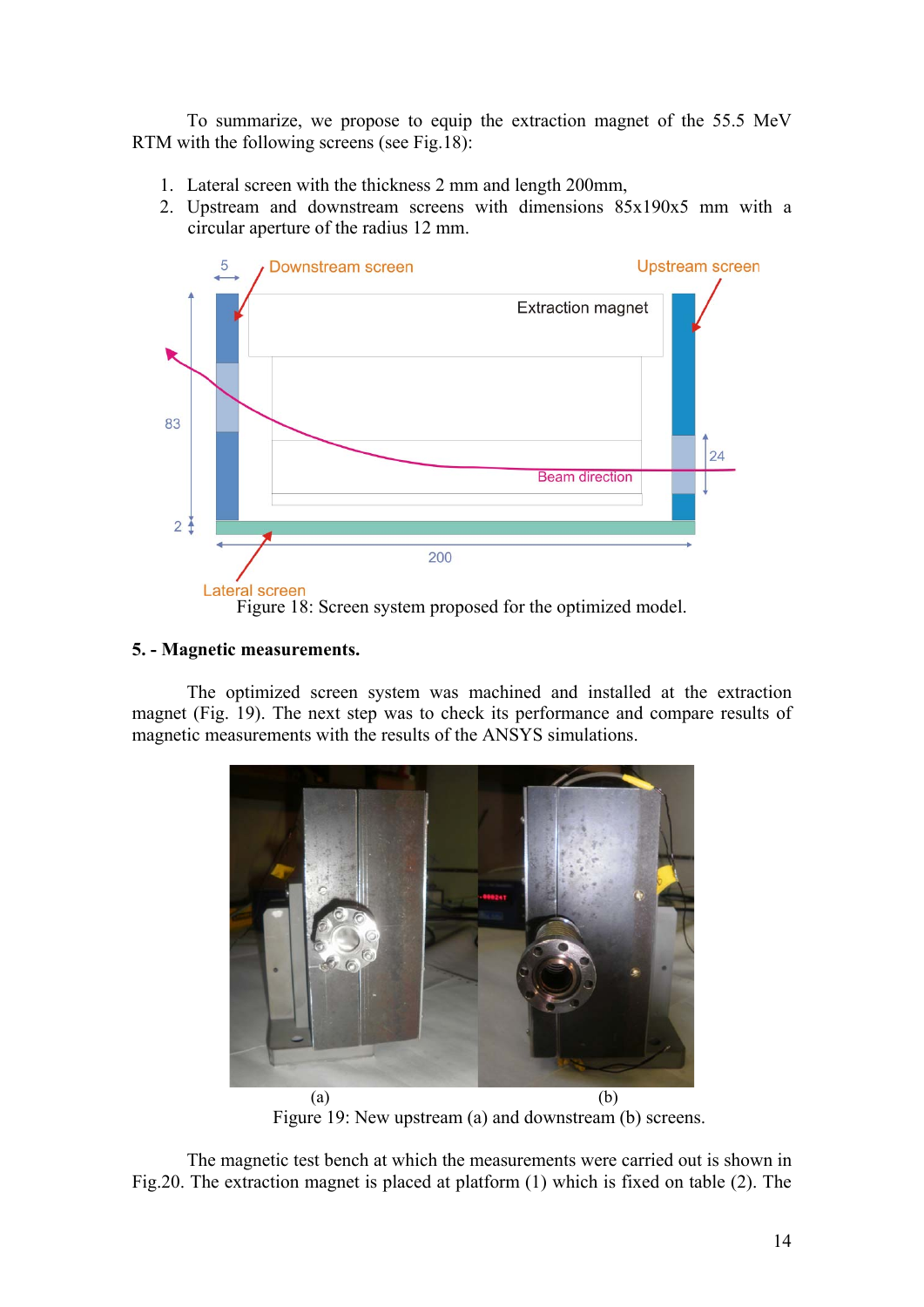To summarize, we propose to equip the extraction magnet of the 55.5 MeV RTM with the following screens (see Fig.18):

- 1. Lateral screen with the thickness 2 mm and length 200mm,
- 2. Upstream and downstream screens with dimensions 85x190x5 mm with a circular aperture of the radius 12 mm.



## **5. - Magnetic measurements.**

The optimized screen system was machined and installed at the extraction magnet (Fig. 19). The next step was to check its performance and compare results of magnetic measurements with the results of the ANSYS simulations.



Figure 19: New upstream (a) and downstream (b) screens.

The magnetic test bench at which the measurements were carried out is shown in Fig.20. The extraction magnet is placed at platform (1) which is fixed on table (2). The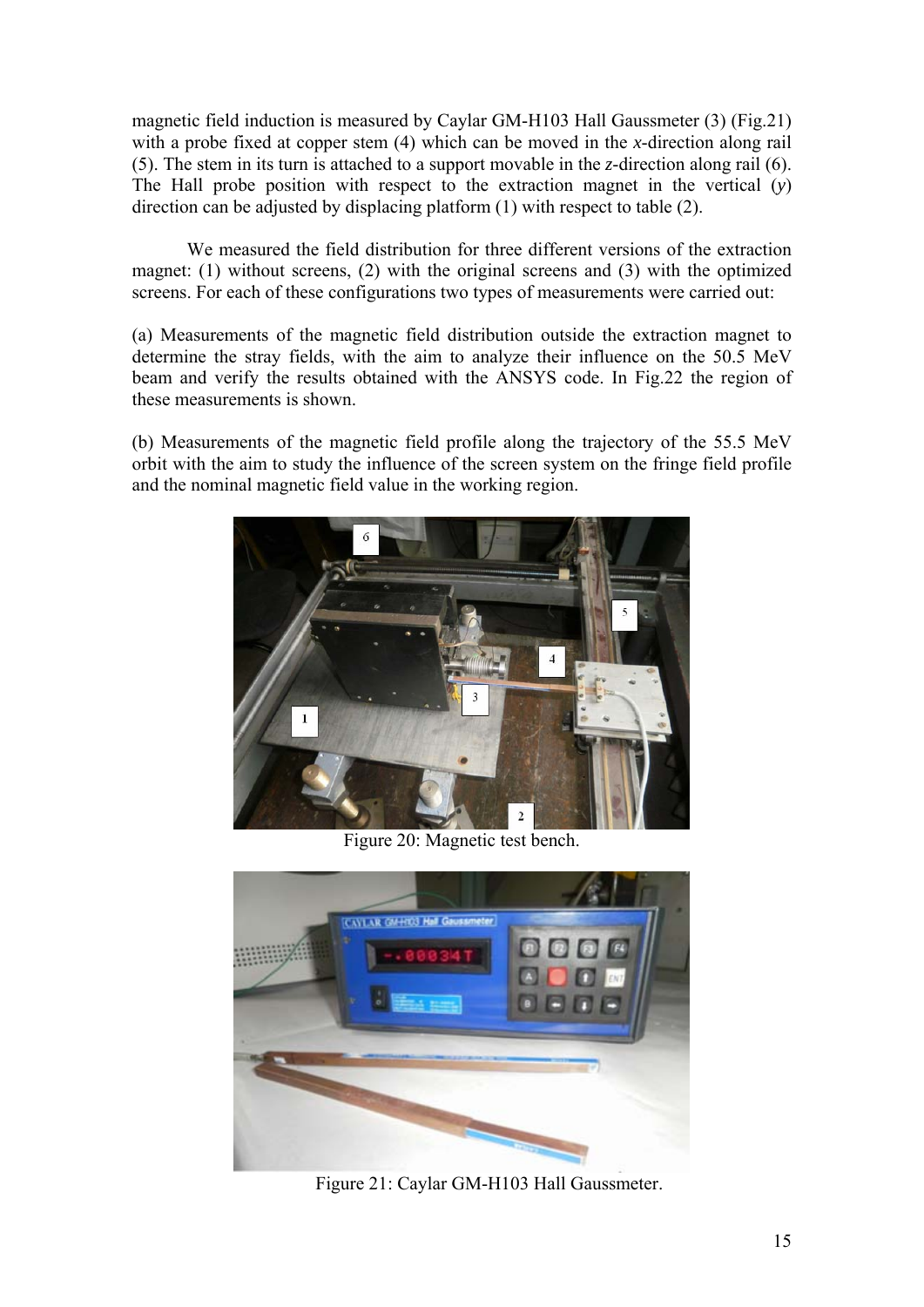magnetic field induction is measured by Caylar GM-H103 Hall Gaussmeter (3) (Fig.21) with a probe fixed at copper stem (4) which can be moved in the *x*-direction along rail (5). The stem in its turn is attached to a support movable in the *z*-direction along rail (6). The Hall probe position with respect to the extraction magnet in the vertical (*y*) direction can be adjusted by displacing platform (1) with respect to table (2).

We measured the field distribution for three different versions of the extraction magnet: (1) without screens, (2) with the original screens and (3) with the optimized screens. For each of these configurations two types of measurements were carried out:

(a) Measurements of the magnetic field distribution outside the extraction magnet to determine the stray fields, with the aim to analyze their influence on the 50.5 MeV beam and verify the results obtained with the ANSYS code. In Fig.22 the region of these measurements is shown.

(b) Measurements of the magnetic field profile along the trajectory of the 55.5 MeV orbit with the aim to study the influence of the screen system on the fringe field profile and the nominal magnetic field value in the working region.



Figure 20: Magnetic test bench.



Figure 21: Caylar GM-H103 Hall Gaussmeter.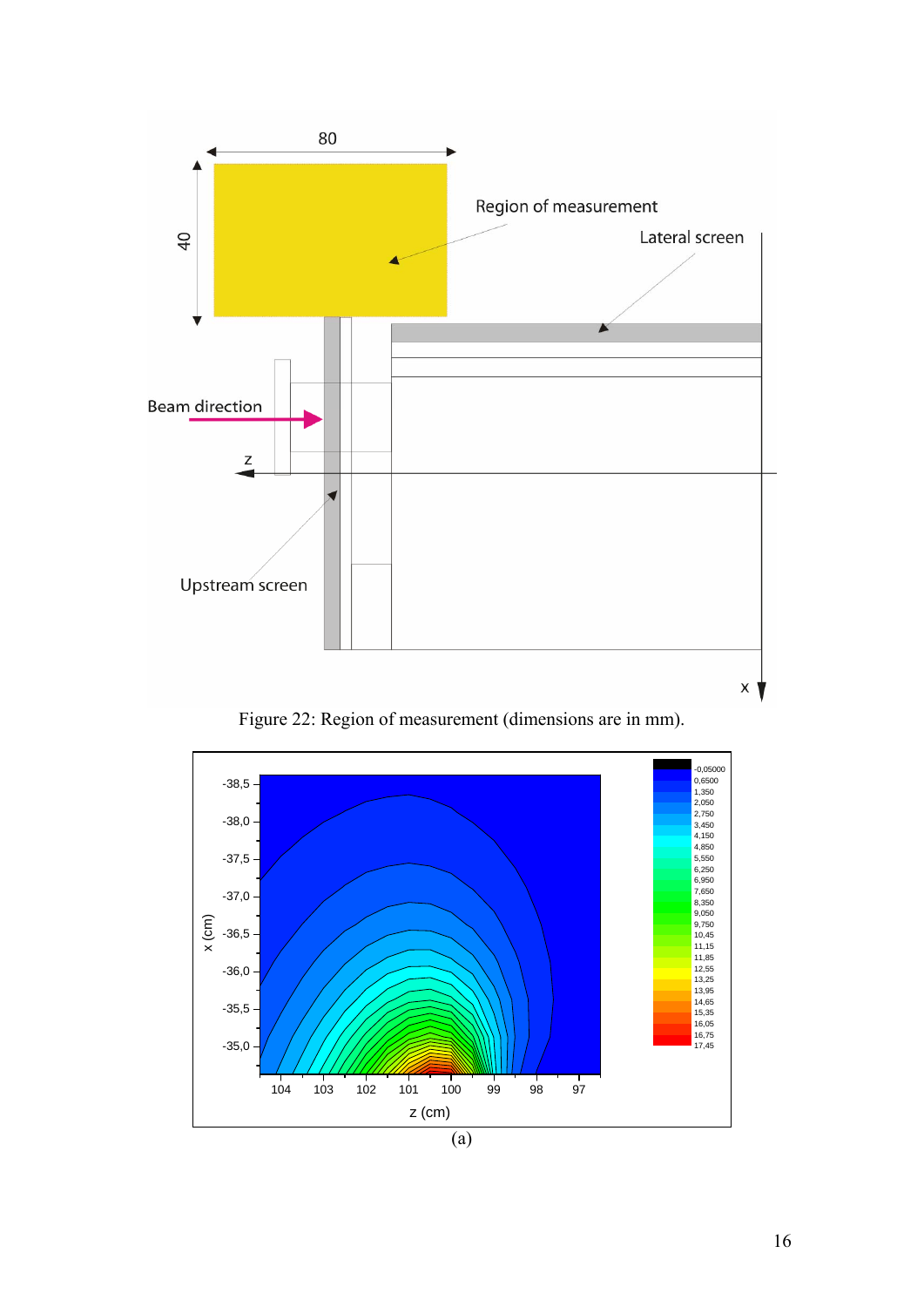

Figure 22: Region of measurement (dimensions are in mm).

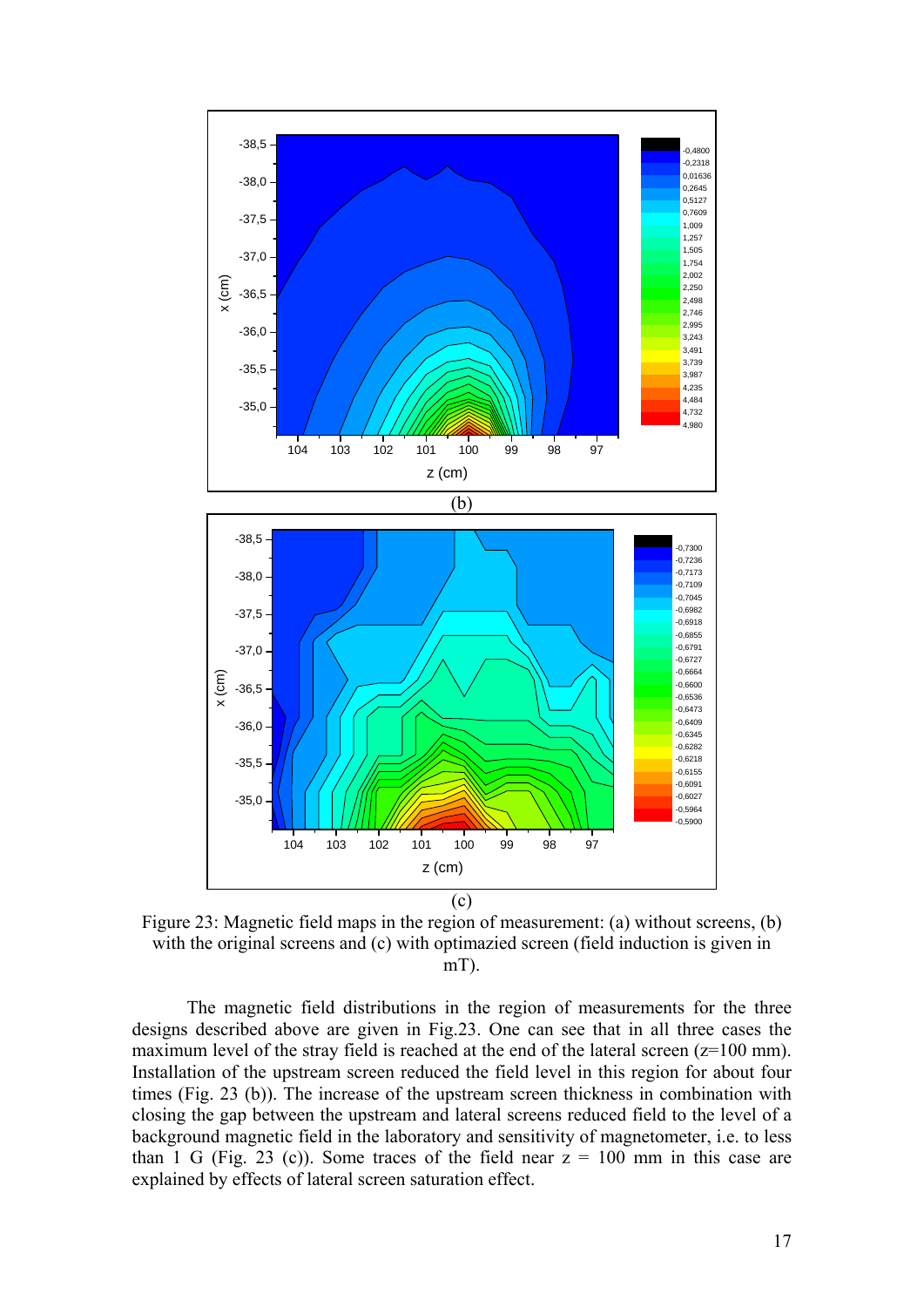

Figure 23: Magnetic field maps in the region of measurement: (a) without screens, (b) with the original screens and (c) with optimazied screen (field induction is given in mT).

The magnetic field distributions in the region of measurements for the three designs described above are given in Fig.23. One can see that in all three cases the maximum level of the stray field is reached at the end of the lateral screen  $(z=100 \text{ mm})$ . Installation of the upstream screen reduced the field level in this region for about four times (Fig. 23 (b)). The increase of the upstream screen thickness in combination with closing the gap between the upstream and lateral screens reduced field to the level of a background magnetic field in the laboratory and sensitivity of magnetometer, i.e. to less than 1 G (Fig. 23 (c)). Some traces of the field near  $z = 100$  mm in this case are explained by effects of lateral screen saturation effect.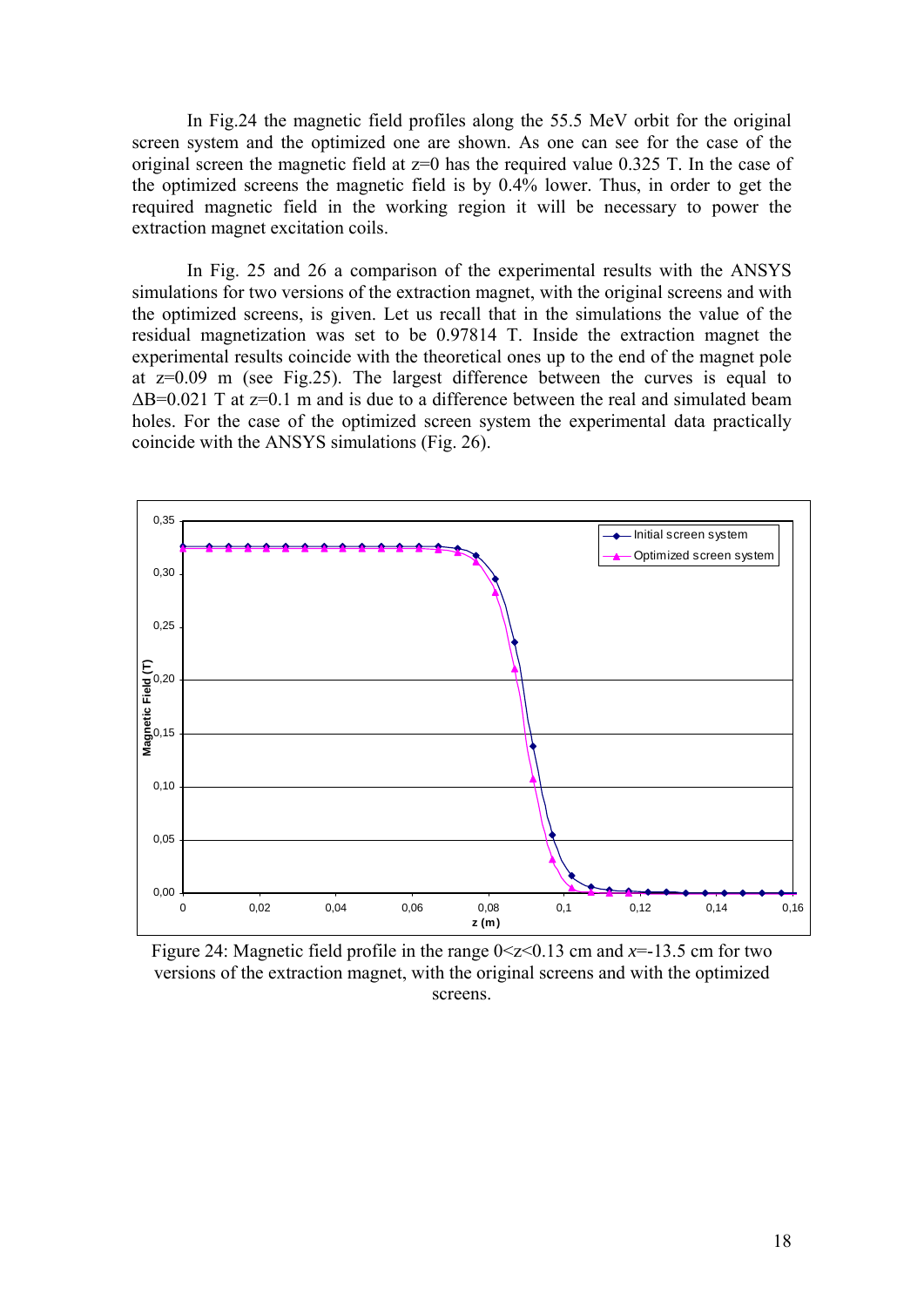In Fig.24 the magnetic field profiles along the 55.5 MeV orbit for the original screen system and the optimized one are shown. As one can see for the case of the original screen the magnetic field at  $z=0$  has the required value 0.325 T. In the case of the optimized screens the magnetic field is by 0.4% lower. Thus, in order to get the required magnetic field in the working region it will be necessary to power the extraction magnet excitation coils.

In Fig. 25 and 26 a comparison of the experimental results with the ANSYS simulations for two versions of the extraction magnet, with the original screens and with the optimized screens, is given. Let us recall that in the simulations the value of the residual magnetization was set to be 0.97814 T. Inside the extraction magnet the experimental results coincide with the theoretical ones up to the end of the magnet pole at z=0.09 m (see Fig.25). The largest difference between the curves is equal to  $\Delta$ B=0.021 T at z=0.1 m and is due to a difference between the real and simulated beam holes. For the case of the optimized screen system the experimental data practically coincide with the ANSYS simulations (Fig. 26).



Figure 24: Magnetic field profile in the range  $0 \le z \le 0.13$  cm and  $x = -13.5$  cm for two versions of the extraction magnet, with the original screens and with the optimized screens.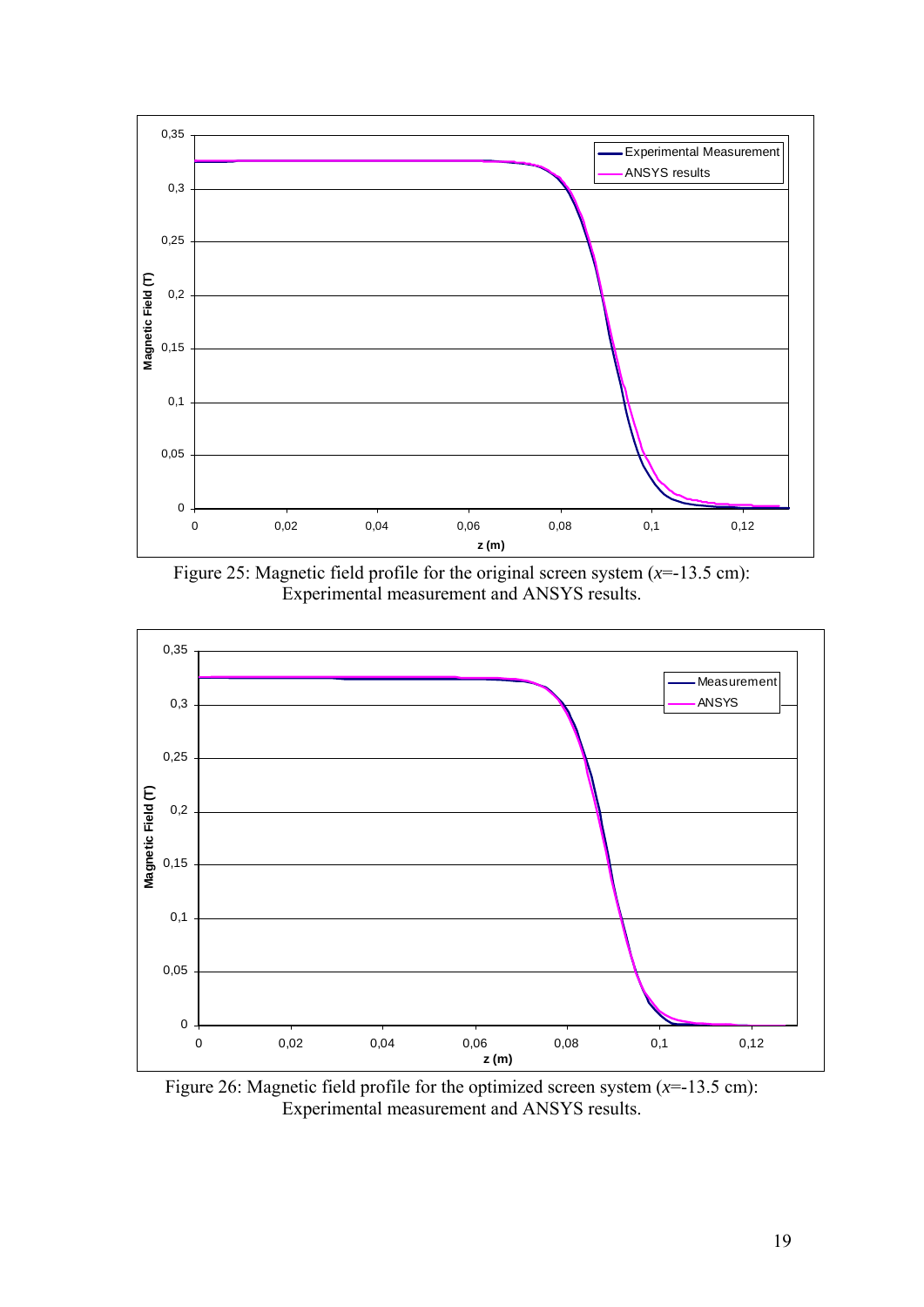

Figure 25: Magnetic field profile for the original screen system  $(x=13.5 \text{ cm})$ : Experimental measurement and ANSYS results.



Figure 26: Magnetic field profile for the optimized screen system (*x*=-13.5 cm): Experimental measurement and ANSYS results.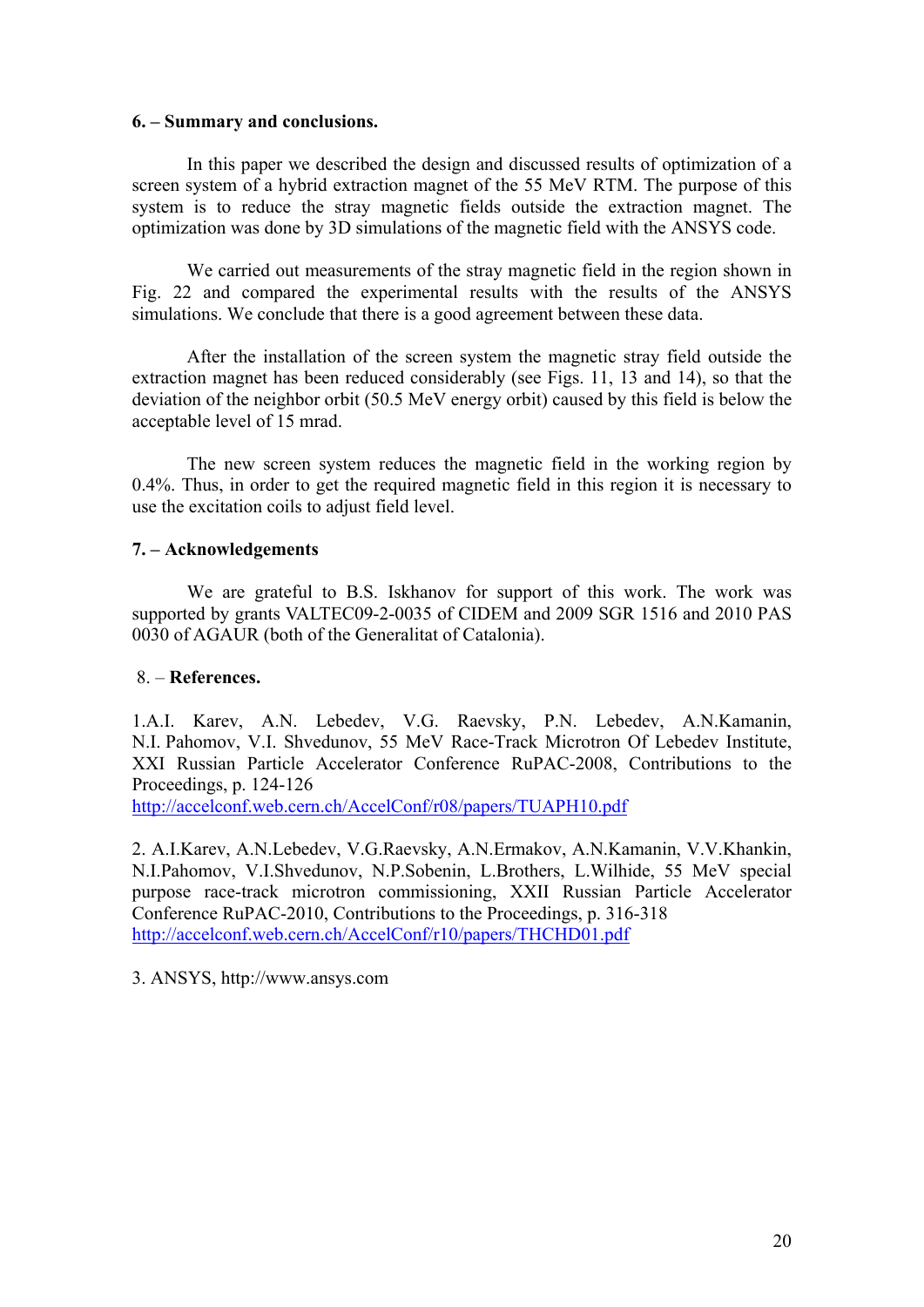## **6. – Summary and conclusions.**

In this paper we described the design and discussed results of optimization of a screen system of a hybrid extraction magnet of the 55 MeV RTM. The purpose of this system is to reduce the stray magnetic fields outside the extraction magnet. The optimization was done by 3D simulations of the magnetic field with the ANSYS code.

We carried out measurements of the stray magnetic field in the region shown in Fig. 22 and compared the experimental results with the results of the ANSYS simulations. We conclude that there is a good agreement between these data.

After the installation of the screen system the magnetic stray field outside the extraction magnet has been reduced considerably (see Figs. 11, 13 and 14), so that the deviation of the neighbor orbit (50.5 MeV energy orbit) caused by this field is below the acceptable level of 15 mrad.

The new screen system reduces the magnetic field in the working region by 0.4%. Thus, in order to get the required magnetic field in this region it is necessary to use the excitation coils to adjust field level.

## **7. – Acknowledgements**

We are grateful to B.S. Iskhanov for support of this work. The work was supported by grants VALTEC09-2-0035 of CIDEM and 2009 SGR 1516 and 2010 PAS 0030 of AGAUR (both of the Generalitat of Catalonia).

## 8. – **References.**

1.A.I. Karev, A.N. Lebedev, V.G. Raevsky, P.N. Lebedev, A.N.Kamanin, N.I. Pahomov, V.I. Shvedunov, 55 MeV Race-Track Microtron Of Lebedev Institute, XXI Russian Particle Accelerator Conference RuPAC-2008, Contributions to the Proceedings, p. 124-126

<http://accelconf.web.cern.ch/AccelConf/r08/papers/TUAPH10.pdf>

2. A.I.Karev, A.N.Lebedev, V.G.Raevsky, A.N.Ermakov, A.N.Kamanin, V.V.Khankin, N.I.Pahomov, V.I.Shvedunov, N.P.Sobenin, L.Brothers, L.Wilhide, 55 MeV special purpose race-track microtron commissioning, XXII Russian Particle Accelerator Conference RuPAC-2010, Contributions to the Proceedings, p. 316-318 <http://accelconf.web.cern.ch/AccelConf/r10/papers/THCHD01.pdf>

3. ANSYS, http://www.ansys.com